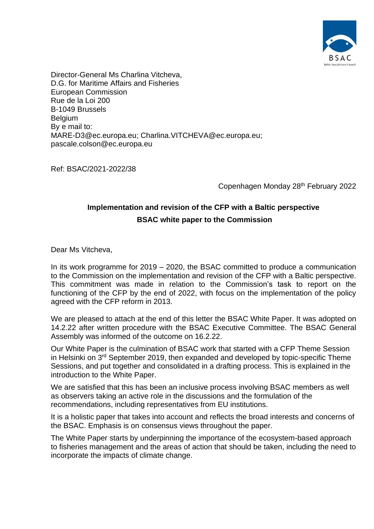

Director-General Ms Charlina Vitcheva, D.G. for Maritime Affairs and Fisheries European Commission Rue de la Loi 200 B-1049 Brussels **Belgium** By e mail to: [MARE-D3@ec.europa.eu;](mailto:MARE-D3@ec.europa.eu) [Charlina.VITCHEVA@ec.europa.eu;](mailto:Charlina.VITCHEVA@ec.europa.eu) [pascale.colson@ec.europa.eu](mailto:pacal.colson@ec.europa.eu)

Ref: BSAC/2021-2022/38

Copenhagen Monday 28th February 2022

# **Implementation and revision of the CFP with a Baltic perspective BSAC white paper to the Commission**

Dear Ms Vitcheva,

In its work programme for 2019 – 2020, the BSAC committed to produce a communication to the Commission on the implementation and revision of the CFP with a Baltic perspective. This commitment was made in relation to the Commission's task to report on the functioning of the CFP by the end of 2022, with focus on the implementation of the policy agreed with the CFP reform in 2013.

We are pleased to attach at the end of this letter the BSAC White Paper. It was adopted on 14.2.22 after written procedure with the BSAC Executive Committee. The BSAC General Assembly was informed of the outcome on 16.2.22.

Our White Paper is the culmination of BSAC work that started with a CFP Theme Session in Helsinki on 3<sup>rd</sup> September 2019, then expanded and developed by topic-specific Theme Sessions, and put together and consolidated in a drafting process. This is explained in the introduction to the White Paper.

We are satisfied that this has been an inclusive process involving BSAC members as well as observers taking an active role in the discussions and the formulation of the recommendations, including representatives from EU institutions.

It is a holistic paper that takes into account and reflects the broad interests and concerns of the BSAC. Emphasis is on consensus views throughout the paper.

The White Paper starts by underpinning the importance of the ecosystem-based approach to fisheries management and the areas of action that should be taken, including the need to incorporate the impacts of climate change.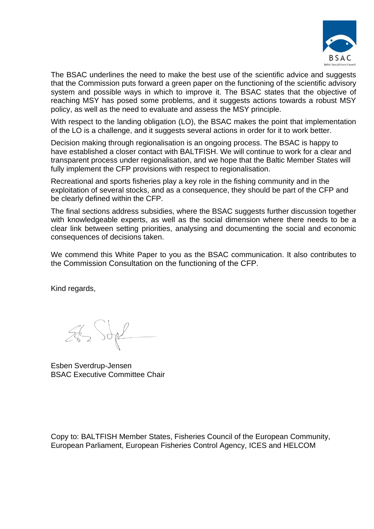

The BSAC underlines the need to make the best use of the scientific advice and suggests that the Commission puts forward a green paper on the functioning of the scientific advisory system and possible ways in which to improve it. The BSAC states that the objective of reaching MSY has posed some problems, and it suggests actions towards a robust MSY policy, as well as the need to evaluate and assess the MSY principle.

With respect to the landing obligation (LO), the BSAC makes the point that implementation of the LO is a challenge, and it suggests several actions in order for it to work better.

Decision making through regionalisation is an ongoing process. The BSAC is happy to have established a closer contact with BALTFISH. We will continue to work for a clear and transparent process under regionalisation, and we hope that the Baltic Member States will fully implement the CFP provisions with respect to regionalisation.

Recreational and sports fisheries play a key role in the fishing community and in the exploitation of several stocks, and as a consequence, they should be part of the CFP and be clearly defined within the CFP.

The final sections address subsidies, where the BSAC suggests further discussion together with knowledgeable experts, as well as the social dimension where there needs to be a clear link between setting priorities, analysing and documenting the social and economic consequences of decisions taken.

We commend this White Paper to you as the BSAC communication. It also contributes to the Commission Consultation on the functioning of the CFP.

Kind regards,

 $262$  Sope

Esben Sverdrup-Jensen BSAC Executive Committee Chair

Copy to: BALTFISH Member States, Fisheries Council of the European Community, European Parliament, European Fisheries Control Agency, ICES and HELCOM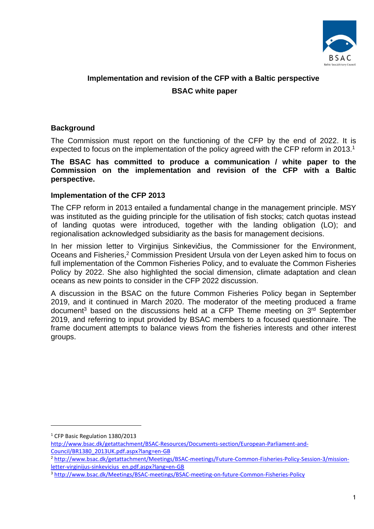

# **Implementation and revision of the CFP with a Baltic perspective BSAC white paper**

# **Background**

The Commission must report on the functioning of the CFP by the end of 2022. It is expected to focus on the implementation of the policy agreed with the CFP reform in 2013.<sup>1</sup>

**The BSAC has committed to produce a communication / white paper to the Commission on the implementation and revision of the CFP with a Baltic perspective.** 

## **Implementation of the CFP 2013**

The CFP reform in 2013 entailed a fundamental change in the management principle. MSY was instituted as the guiding principle for the utilisation of fish stocks; catch quotas instead of landing quotas were introduced, together with the landing obligation (LO); and regionalisation acknowledged subsidiarity as the basis for management decisions.

In her mission letter to Virginijus Sinkevičius, the Commissioner for the Environment, Oceans and Fisheries, <sup>2</sup> Commission President Ursula von der Leyen asked him to focus on full implementation of the Common Fisheries Policy, and to evaluate the Common Fisheries Policy by 2022. She also highlighted the social dimension, climate adaptation and clean oceans as new points to consider in the CFP 2022 discussion.

A discussion in the BSAC on the future Common Fisheries Policy began in September 2019, and it continued in March 2020. The moderator of the meeting produced a frame document<sup>3</sup> based on the discussions held at a CFP Theme meeting on  $3<sup>rd</sup>$  September 2019, and referring to input provided by BSAC members to a focused questionnaire. The frame document attempts to balance views from the fisheries interests and other interest groups.

<sup>&</sup>lt;sup>1</sup> CFP Basic Regulation 1380/2013

[http://www.bsac.dk/getattachment/BSAC-Resources/Documents-section/European-Parliament-and-](http://www.bsac.dk/getattachment/BSAC-Resources/Documents-section/European-Parliament-and-Council/BR1380_2013UK.pdf.aspx?lang=en-GB)[Council/BR1380\\_2013UK.pdf.aspx?lang=en-GB](http://www.bsac.dk/getattachment/BSAC-Resources/Documents-section/European-Parliament-and-Council/BR1380_2013UK.pdf.aspx?lang=en-GB)

<sup>2</sup> [http://www.bsac.dk/getattachment/Meetings/BSAC-meetings/Future-Common-Fisheries-Policy-Session-3/mission](http://www.bsac.dk/getattachment/Meetings/BSAC-meetings/Future-Common-Fisheries-Policy-Session-3/mission-letter-virginijus-sinkevicius_en.pdf.aspx?lang=en-GB)[letter-virginijus-sinkevicius\\_en.pdf.aspx?lang=en-GB](http://www.bsac.dk/getattachment/Meetings/BSAC-meetings/Future-Common-Fisheries-Policy-Session-3/mission-letter-virginijus-sinkevicius_en.pdf.aspx?lang=en-GB)

<sup>3</sup> <http://www.bsac.dk/Meetings/BSAC-meetings/BSAC-meeting-on-future-Common-Fisheries-Policy>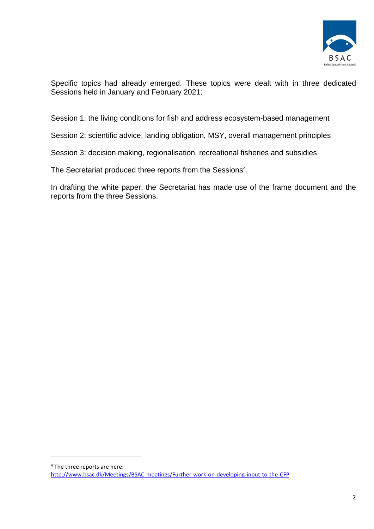

Specific topics had already emerged. These topics were dealt with in three dedicated Sessions held in January and February 2021:

Session 1: the living conditions for fish and address ecosystem-based management

Session 2: scientific advice, landing obligation, MSY, overall management principles

Session 3: decision making, regionalisation, recreational fisheries and subsidies

The Secretariat produced three reports from the Sessions<sup>4</sup>.

In drafting the white paper, the Secretariat has made use of the frame document and the reports from the three Sessions.

<sup>4</sup> The three reports are here: <http://www.bsac.dk/Meetings/BSAC-meetings/Further-work-on-developing-input-to-the-CFP>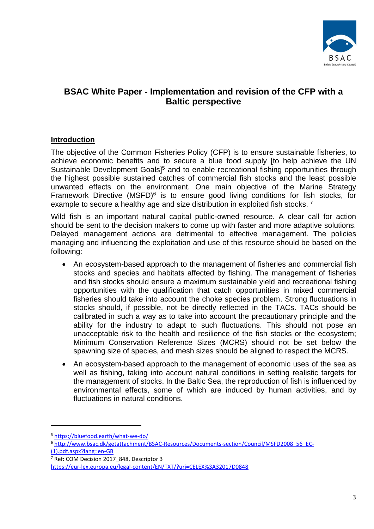

# **BSAC White Paper - Implementation and revision of the CFP with a Baltic perspective**

# **Introduction**

The objective of the Common Fisheries Policy (CFP) is to ensure sustainable fisheries, to achieve economic benefits and to secure a blue food supply [to help achieve the UN Sustainable Development Goals<sup>15</sup> and to enable recreational fishing opportunities through the highest possible sustained catches of commercial fish stocks and the least possible unwanted effects on the environment. One main objective of the Marine Strategy Framework Directive (MSFD) $6$  is to ensure good living conditions for fish stocks, for example to secure a healthy age and size distribution in exploited fish stocks.<sup>7</sup>

Wild fish is an important natural capital public-owned resource. A clear call for action should be sent to the decision makers to come up with faster and more adaptive solutions. Delayed management actions are detrimental to effective management. The policies managing and influencing the exploitation and use of this resource should be based on the following:

- An ecosystem-based approach to the management of fisheries and commercial fish stocks and species and habitats affected by fishing. The management of fisheries and fish stocks should ensure a maximum sustainable yield and recreational fishing opportunities with the qualification that catch opportunities in mixed commercial fisheries should take into account the choke species problem. Strong fluctuations in stocks should, if possible, not be directly reflected in the TACs. TACs should be calibrated in such a way as to take into account the precautionary principle and the ability for the industry to adapt to such fluctuations. This should not pose an unacceptable risk to the health and resilience of the fish stocks or the ecosystem; Minimum Conservation Reference Sizes (MCRS) should not be set below the spawning size of species, and mesh sizes should be aligned to respect the MCRS.
- An ecosystem-based approach to the management of economic uses of the sea as well as fishing, taking into account natural conditions in setting realistic targets for the management of stocks. In the Baltic Sea, the reproduction of fish is influenced by environmental effects, some of which are induced by human activities, and by fluctuations in natural conditions.

<sup>5</sup> <https://bluefood.earth/what-we-do/>

<sup>6</sup> [http://www.bsac.dk/getattachment/BSAC-Resources/Documents-section/Council/MSFD2008\\_56\\_EC-](http://www.bsac.dk/getattachment/BSAC-Resources/Documents-section/Council/MSFD2008_56_EC-(1).pdf.aspx?lang=en-GB) [\(1\).pdf.aspx?lang=en-GB](http://www.bsac.dk/getattachment/BSAC-Resources/Documents-section/Council/MSFD2008_56_EC-(1).pdf.aspx?lang=en-GB)

<sup>&</sup>lt;sup>7</sup> Ref: COM Decision 2017 848, Descriptor 3

<https://eur-lex.europa.eu/legal-content/EN/TXT/?uri=CELEX%3A32017D0848>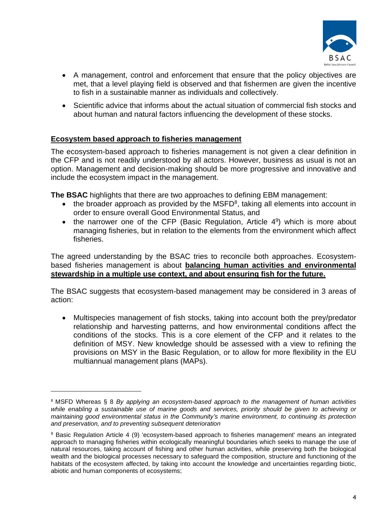

- A management, control and enforcement that ensure that the policy objectives are met, that a level playing field is observed and that fishermen are given the incentive to fish in a sustainable manner as individuals and collectively.
- Scientific advice that informs about the actual situation of commercial fish stocks and about human and natural factors influencing the development of these stocks.

## **Ecosystem based approach to fisheries management**

The ecosystem-based approach to fisheries management is not given a clear definition in the CFP and is not readily understood by all actors. However, business as usual is not an option. Management and decision-making should be more progressive and innovative and include the ecosystem impact in the management.

**The BSAC** highlights that there are two approaches to defining EBM management:

- $\bullet$  the broader approach as provided by the MSFD<sup>8</sup>, taking all elements into account in order to ensure overall Good Environmental Status, and
- $\bullet$  the narrower one of the CFP (Basic Regulation, Article 4<sup>9</sup>) which is more about managing fisheries, but in relation to the elements from the environment which affect fisheries.

The agreed understanding by the BSAC tries to reconcile both approaches. Ecosystembased fisheries management is about **balancing human activities and environmental stewardship in a multiple use context, and about ensuring fish for the future.**

The BSAC suggests that ecosystem-based management may be considered in 3 areas of action:

• Multispecies management of fish stocks, taking into account both the prey/predator relationship and harvesting patterns, and how environmental conditions affect the conditions of the stocks. This is a core element of the CFP and it relates to the definition of MSY. New knowledge should be assessed with a view to refining the provisions on MSY in the Basic Regulation, or to allow for more flexibility in the EU multiannual management plans (MAPs).

<sup>8</sup> MSFD Whereas § 8 *By applying an ecosystem-based approach to the management of human activities while enabling a sustainable use of marine goods and services, priority should be given to achieving or maintaining good environmental status in the Community's marine environment, to continuing its protection and preservation, and to preventing subsequent deterioration*

<sup>&</sup>lt;sup>9</sup> Basic Regulation Article 4 (9) 'ecosystem-based approach to fisheries management' means an integrated approach to managing fisheries within ecologically meaningful boundaries which seeks to manage the use of natural resources, taking account of fishing and other human activities, while preserving both the biological wealth and the biological processes necessary to safeguard the composition, structure and functioning of the habitats of the ecosystem affected, by taking into account the knowledge and uncertainties regarding biotic, abiotic and human components of ecosystems;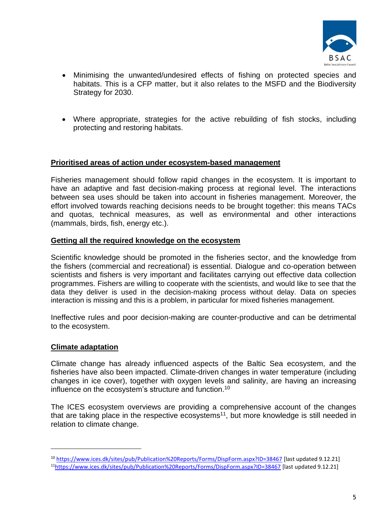

- Minimising the unwanted/undesired effects of fishing on protected species and habitats. This is a CFP matter, but it also relates to the MSFD and the Biodiversity Strategy for 2030.
- Where appropriate, strategies for the active rebuilding of fish stocks, including protecting and restoring habitats.

### **Prioritised areas of action under ecosystem-based management**

Fisheries management should follow rapid changes in the ecosystem. It is important to have an adaptive and fast decision-making process at regional level. The interactions between sea uses should be taken into account in fisheries management. Moreover, the effort involved towards reaching decisions needs to be brought together: this means TACs and quotas, technical measures, as well as environmental and other interactions (mammals, birds, fish, energy etc.).

#### **Getting all the required knowledge on the ecosystem**

Scientific knowledge should be promoted in the fisheries sector, and the knowledge from the fishers (commercial and recreational) is essential. Dialogue and co-operation between scientists and fishers is very important and facilitates carrying out effective data collection programmes. Fishers are willing to cooperate with the scientists, and would like to see that the data they deliver is used in the decision-making process without delay. Data on species interaction is missing and this is a problem, in particular for mixed fisheries management.

Ineffective rules and poor decision-making are counter-productive and can be detrimental to the ecosystem.

#### **Climate adaptation**

Climate change has already influenced aspects of the Baltic Sea ecosystem, and the fisheries have also been impacted. Climate-driven changes in water temperature (including changes in ice cover), together with oxygen levels and salinity, are having an increasing influence on the ecosystem's structure and function.<sup>10</sup>

The ICES ecosystem overviews are providing a comprehensive account of the changes that are taking place in the respective ecosystems<sup>11</sup>, but more knowledge is still needed in relation to climate change.

<sup>10</sup> <https://www.ices.dk/sites/pub/Publication%20Reports/Forms/DispForm.aspx?ID=38467> [last updated 9.12.21] <sup>11</sup><https://www.ices.dk/sites/pub/Publication%20Reports/Forms/DispForm.aspx?ID=38467> [last updated 9.12.21]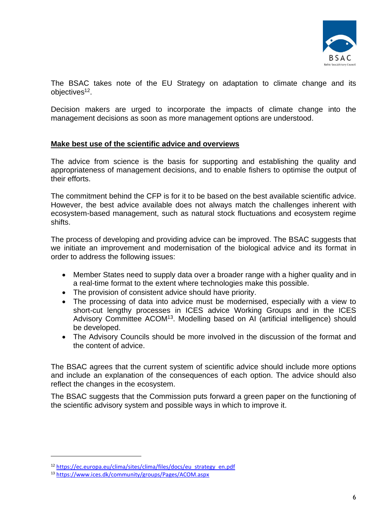

The BSAC takes note of the EU Strategy on adaptation to climate change and its objectives<sup>12</sup>.

Decision makers are urged to incorporate the impacts of climate change into the management decisions as soon as more management options are understood.

### **Make best use of the scientific advice and overviews**

The advice from science is the basis for supporting and establishing the quality and appropriateness of management decisions, and to enable fishers to optimise the output of their efforts.

The commitment behind the CFP is for it to be based on the best available scientific advice. However, the best advice available does not always match the challenges inherent with ecosystem-based management, such as natural stock fluctuations and ecosystem regime shifts.

The process of developing and providing advice can be improved. The BSAC suggests that we initiate an improvement and modernisation of the biological advice and its format in order to address the following issues:

- Member States need to supply data over a broader range with a higher quality and in a real-time format to the extent where technologies make this possible.
- The provision of consistent advice should have priority.
- The processing of data into advice must be modernised, especially with a view to short-cut lengthy processes in ICES advice Working Groups and in the ICES Advisory Committee ACOM<sup>13</sup>. Modelling based on AI (artificial intelligence) should be developed.
- The Advisory Councils should be more involved in the discussion of the format and the content of advice.

The BSAC agrees that the current system of scientific advice should include more options and include an explanation of the consequences of each option. The advice should also reflect the changes in the ecosystem.

The BSAC suggests that the Commission puts forward a green paper on the functioning of the scientific advisory system and possible ways in which to improve it.

<sup>12</sup> [https://ec.europa.eu/clima/sites/clima/files/docs/eu\\_strategy\\_en.pdf](https://ec.europa.eu/clima/sites/clima/files/docs/eu_strategy_en.pdf)

<sup>13</sup> <https://www.ices.dk/community/groups/Pages/ACOM.aspx>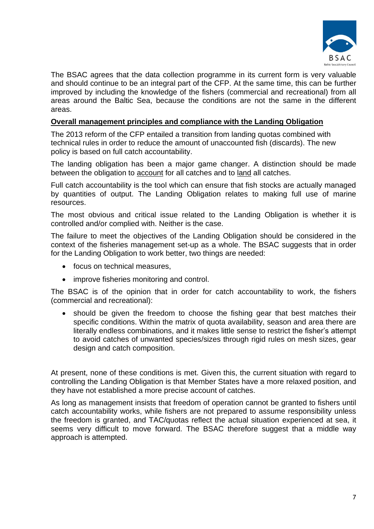

The BSAC agrees that the data collection programme in its current form is very valuable and should continue to be an integral part of the CFP. At the same time, this can be further improved by including the knowledge of the fishers (commercial and recreational) from all areas around the Baltic Sea, because the conditions are not the same in the different areas.

### **Overall management principles and compliance with the Landing Obligation**

The 2013 reform of the CFP entailed a transition from landing quotas combined with technical rules in order to reduce the amount of unaccounted fish (discards). The new policy is based on full catch accountability.

The landing obligation has been a major game changer. A distinction should be made between the obligation to account for all catches and to land all catches.

Full catch accountability is the tool which can ensure that fish stocks are actually managed by quantities of output. The Landing Obligation relates to making full use of marine resources.

The most obvious and critical issue related to the Landing Obligation is whether it is controlled and/or complied with. Neither is the case.

The failure to meet the objectives of the Landing Obligation should be considered in the context of the fisheries management set-up as a whole. The BSAC suggests that in order for the Landing Obligation to work better, two things are needed:

- focus on technical measures.
- improve fisheries monitoring and control.

The BSAC is of the opinion that in order for catch accountability to work, the fishers (commercial and recreational):

• should be given the freedom to choose the fishing gear that best matches their specific conditions. Within the matrix of quota availability, season and area there are literally endless combinations, and it makes little sense to restrict the fisher's attempt to avoid catches of unwanted species/sizes through rigid rules on mesh sizes, gear design and catch composition.

At present, none of these conditions is met. Given this, the current situation with regard to controlling the Landing Obligation is that Member States have a more relaxed position, and they have not established a more precise account of catches.

As long as management insists that freedom of operation cannot be granted to fishers until catch accountability works, while fishers are not prepared to assume responsibility unless the freedom is granted, and TAC/quotas reflect the actual situation experienced at sea, it seems very difficult to move forward. The BSAC therefore suggest that a middle way approach is attempted.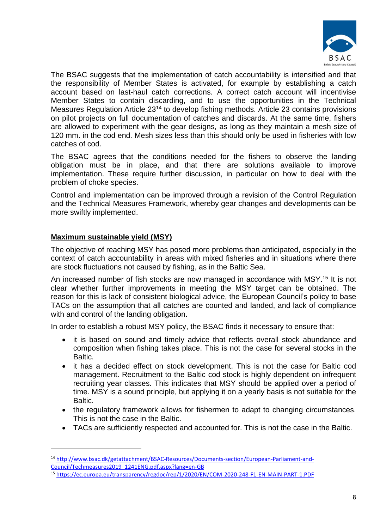

The BSAC suggests that the implementation of catch accountability is intensified and that the responsibility of Member States is activated, for example by establishing a catch account based on last-haul catch corrections. A correct catch account will incentivise Member States to contain discarding, and to use the opportunities in the Technical Measures Regulation Article 23<sup>14</sup> to develop fishing methods. Article 23 contains provisions on pilot projects on full documentation of catches and discards. At the same time, fishers are allowed to experiment with the gear designs, as long as they maintain a mesh size of 120 mm. in the cod end. Mesh sizes less than this should only be used in fisheries with low catches of cod.

The BSAC agrees that the conditions needed for the fishers to observe the landing obligation must be in place, and that there are solutions available to improve implementation. These require further discussion, in particular on how to deal with the problem of choke species.

Control and implementation can be improved through a revision of the Control Regulation and the Technical Measures Framework, whereby gear changes and developments can be more swiftly implemented.

## **Maximum sustainable yield (MSY)**

The objective of reaching MSY has posed more problems than anticipated, especially in the context of catch accountability in areas with mixed fisheries and in situations where there are stock fluctuations not caused by fishing, as in the Baltic Sea.

An increased number of fish stocks are now managed in accordance with MSY.<sup>15</sup> It is not clear whether further improvements in meeting the MSY target can be obtained. The reason for this is lack of consistent biological advice, the European Council's policy to base TACs on the assumption that all catches are counted and landed, and lack of compliance with and control of the landing obligation.

In order to establish a robust MSY policy, the BSAC finds it necessary to ensure that:

- it is based on sound and timely advice that reflects overall stock abundance and composition when fishing takes place. This is not the case for several stocks in the Baltic.
- it has a decided effect on stock development. This is not the case for Baltic cod management. Recruitment to the Baltic cod stock is highly dependent on infrequent recruiting year classes. This indicates that MSY should be applied over a period of time. MSY is a sound principle, but applying it on a yearly basis is not suitable for the Baltic.
- the regulatory framework allows for fishermen to adapt to changing circumstances. This is not the case in the Baltic.
- TACs are sufficiently respected and accounted for. This is not the case in the Baltic.

<sup>14</sup> [http://www.bsac.dk/getattachment/BSAC-Resources/Documents-section/European-Parliament-and-](http://www.bsac.dk/getattachment/BSAC-Resources/Documents-section/European-Parliament-and-Council/Techmeasures2019_1241ENG.pdf.aspx?lang=en-GB)[Council/Techmeasures2019\\_1241ENG.pdf.aspx?lang=en-GB](http://www.bsac.dk/getattachment/BSAC-Resources/Documents-section/European-Parliament-and-Council/Techmeasures2019_1241ENG.pdf.aspx?lang=en-GB)

<sup>15</sup> <https://ec.europa.eu/transparency/regdoc/rep/1/2020/EN/COM-2020-248-F1-EN-MAIN-PART-1.PDF>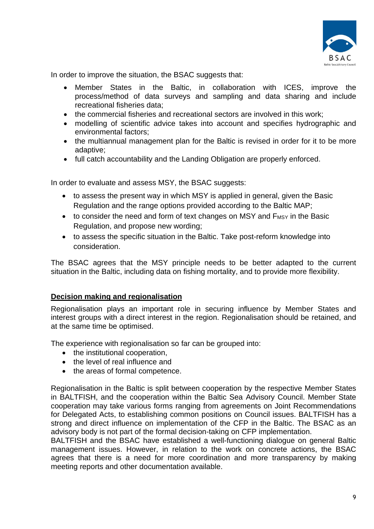

In order to improve the situation, the BSAC suggests that:

- Member States in the Baltic, in collaboration with ICES, improve the process/method of data surveys and sampling and data sharing and include recreational fisheries data;
- the commercial fisheries and recreational sectors are involved in this work:
- modelling of scientific advice takes into account and specifies hydrographic and environmental factors;
- the multiannual management plan for the Baltic is revised in order for it to be more adaptive;
- full catch accountability and the Landing Obligation are properly enforced.

In order to evaluate and assess MSY, the BSAC suggests:

- to assess the present way in which MSY is applied in general, given the Basic Regulation and the range options provided according to the Baltic MAP;
- to consider the need and form of text changes on MSY and F<sub>MSY</sub> in the Basic Regulation, and propose new wording;
- to assess the specific situation in the Baltic. Take post-reform knowledge into consideration.

The BSAC agrees that the MSY principle needs to be better adapted to the current situation in the Baltic, including data on fishing mortality, and to provide more flexibility.

### **Decision making and regionalisation**

Regionalisation plays an important role in securing influence by Member States and interest groups with a direct interest in the region. Regionalisation should be retained, and at the same time be optimised.

The experience with regionalisation so far can be grouped into:

- the institutional cooperation,
- the level of real influence and
- the areas of formal competence.

Regionalisation in the Baltic is split between cooperation by the respective Member States in BALTFISH, and the cooperation within the Baltic Sea Advisory Council. Member State cooperation may take various forms ranging from agreements on Joint Recommendations for Delegated Acts, to establishing common positions on Council issues. BALTFISH has a strong and direct influence on implementation of the CFP in the Baltic. The BSAC as an advisory body is not part of the formal decision-taking on CFP implementation.

BALTFISH and the BSAC have established a well-functioning dialogue on general Baltic management issues. However, in relation to the work on concrete actions, the BSAC agrees that there is a need for more coordination and more transparency by making meeting reports and other documentation available.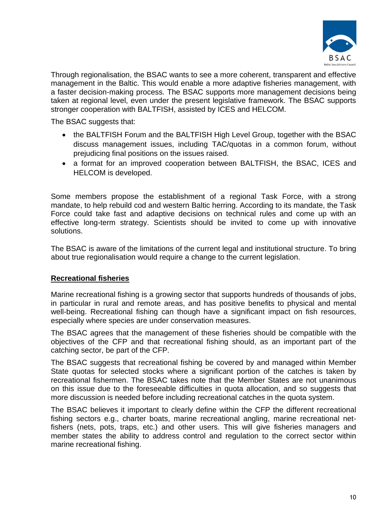

Through regionalisation, the BSAC wants to see a more coherent, transparent and effective management in the Baltic. This would enable a more adaptive fisheries management, with a faster decision-making process. The BSAC supports more management decisions being taken at regional level, even under the present legislative framework. The BSAC supports stronger cooperation with BALTFISH, assisted by ICES and HELCOM.

The BSAC suggests that:

- the BALTFISH Forum and the BALTFISH High Level Group, together with the BSAC discuss management issues, including TAC/quotas in a common forum, without prejudicing final positions on the issues raised.
- a format for an improved cooperation between BALTFISH, the BSAC, ICES and HELCOM is developed.

Some members propose the establishment of a regional Task Force, with a strong mandate, to help rebuild cod and western Baltic herring. According to its mandate, the Task Force could take fast and adaptive decisions on technical rules and come up with an effective long-term strategy. Scientists should be invited to come up with innovative solutions.

The BSAC is aware of the limitations of the current legal and institutional structure. To bring about true regionalisation would require a change to the current legislation.

# **Recreational fisheries**

Marine recreational fishing is a growing sector that supports hundreds of thousands of jobs, in particular in rural and remote areas, and has positive benefits to physical and mental well-being. Recreational fishing can though have a significant impact on fish resources, especially where species are under conservation measures.

The BSAC agrees that the management of these fisheries should be compatible with the objectives of the CFP and that recreational fishing should, as an important part of the catching sector, be part of the CFP.

The BSAC suggests that recreational fishing be covered by and managed within Member State quotas for selected stocks where a significant portion of the catches is taken by recreational fishermen. The BSAC takes note that the Member States are not unanimous on this issue due to the foreseeable difficulties in quota allocation, and so suggests that more discussion is needed before including recreational catches in the quota system.

The BSAC believes it important to clearly define within the CFP the different recreational fishing sectors e.g., charter boats, marine recreational angling, marine recreational netfishers (nets, pots, traps, etc.) and other users. This will give fisheries managers and member states the ability to address control and regulation to the correct sector within marine recreational fishing.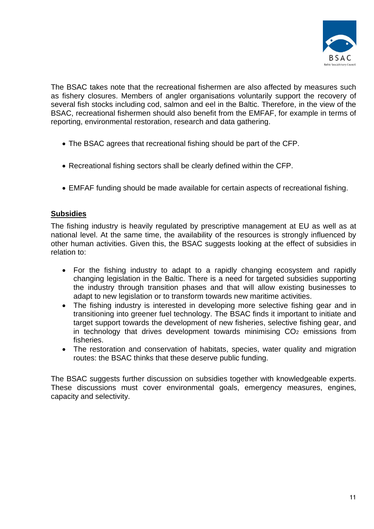

The BSAC takes note that the recreational fishermen are also affected by measures such as fishery closures. Members of angler organisations voluntarily support the recovery of several fish stocks including cod, salmon and eel in the Baltic. Therefore, in the view of the BSAC, recreational fishermen should also benefit from the EMFAF, for example in terms of reporting, environmental restoration, research and data gathering.

- The BSAC agrees that recreational fishing should be part of the CFP.
- Recreational fishing sectors shall be clearly defined within the CFP.
- EMFAF funding should be made available for certain aspects of recreational fishing.

### **Subsidies**

The fishing industry is heavily regulated by prescriptive management at EU as well as at national level. At the same time, the availability of the resources is strongly influenced by other human activities. Given this, the BSAC suggests looking at the effect of subsidies in relation to:

- For the fishing industry to adapt to a rapidly changing ecosystem and rapidly changing legislation in the Baltic. There is a need for targeted subsidies supporting the industry through transition phases and that will allow existing businesses to adapt to new legislation or to transform towards new maritime activities.
- The fishing industry is interested in developing more selective fishing gear and in transitioning into greener fuel technology. The BSAC finds it important to initiate and target support towards the development of new fisheries, selective fishing gear, and in technology that drives development towards minimising  $CO<sub>2</sub>$  emissions from fisheries.
- The restoration and conservation of habitats, species, water quality and migration routes: the BSAC thinks that these deserve public funding.

The BSAC suggests further discussion on subsidies together with knowledgeable experts. These discussions must cover environmental goals, emergency measures, engines, capacity and selectivity.